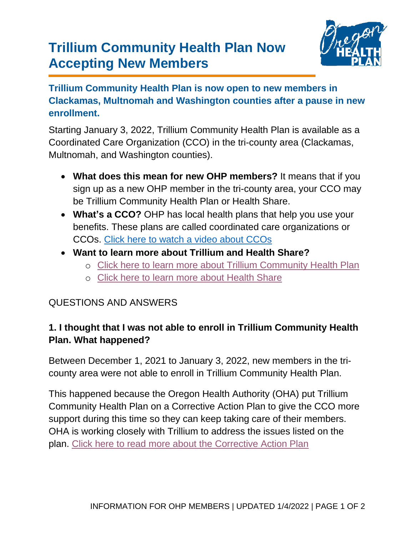# **Trillium Community Health Plan Now Accepting New Members**



**Trillium Community Health Plan is now open to new members in Clackamas, Multnomah and Washington counties after a pause in new enrollment.**

Starting January 3, 2022, Trillium Community Health Plan is available as a Coordinated Care Organization (CCO) in the tri-county area (Clackamas, Multnomah, and Washington counties).

- **What does this mean for new OHP members?** It means that if you sign up as a new OHP member in the tri-county area, your CCO may be Trillium Community Health Plan or Health Share.
- **What's a CCO?** OHP has local health plans that help you use your benefits. These plans are called coordinated care organizations or CCOs. [Click here to watch a video about CCOs](https://youtu.be/0IflN4naSUU)
- **Want to learn more about Trillium and Health Share?**
	- o [Click here to learn more about Trillium Community Health Plan](https://www.oregon.gov/oha/HSD/OHP/Pages/cco-plans.aspx?wp5700=p:1#g_89b1aae6_b701_4a48_821c_0f3148983f58)
	- o [Click here to learn more about Health Share](https://www.oregon.gov/oha/HSD/OHP/Pages/cco-plans.aspx?wp5700=se:%22Health+Share%22)

#### QUESTIONS AND ANSWERS

### **1. I thought that I was not able to enroll in Trillium Community Health Plan. What happened?**

Between December 1, 2021 to January 3, 2022, new members in the tricounty area were not able to enroll in Trillium Community Health Plan.

This happened because the Oregon Health Authority (OHA) put Trillium Community Health Plan on a Corrective Action Plan to give the CCO more support during this time so they can keep taking care of their members. OHA is working closely with Trillium to address the issues listed on the plan. [Click here to read more about the Corrective](https://content.govdelivery.com/accounts/ORDHS/bulletins/2fa42c7) Action Plan